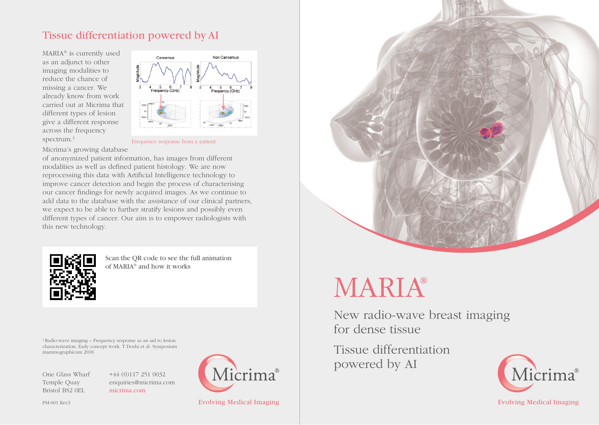## Tissue differentiation powered by AI

MARIA® is currently used as an adjunct to other imaging modalities to reduce the chance of missing a cancer. We already know from work carried out at Micrima that different types of lesion give a different response across the frequency spectrum.2



Frequency response from a patient

Micrima's growing database of anonymized patient information, has images from different modalities as well as defined patient histology. We are now reprocessing this data with Artificial Intelligence technology to improve cancer detection and begin the process of characterising our cancer findings for newly acquired images. As we continue to add data to the database with the assistance of our clinical partners, we expect to be able to further stratify lesions and possibly even different types of cancer. Our aim is to empower radiologists with this new technology.



Scan the QR code to see the full animation of MARIA® and how it works

2 Radio-wave imaging – Frequency response as an aid to lesion characterization. Early concept work. T Doshi et al- Symposium mammographicum 2018

One Glass Wharf Temple Quay Bristol BS2 0EL

+44 (0)117 251 0032 enquiries@micrima.com micrima.com





# **MARIA®**

New radio-wave breast imaging for dense tissue

Tissue differentiation powered by AI



Evolving Medical Imaging **Evolving Medical Imaging** Evolving Medical Imaging Evolving Medical Imaging